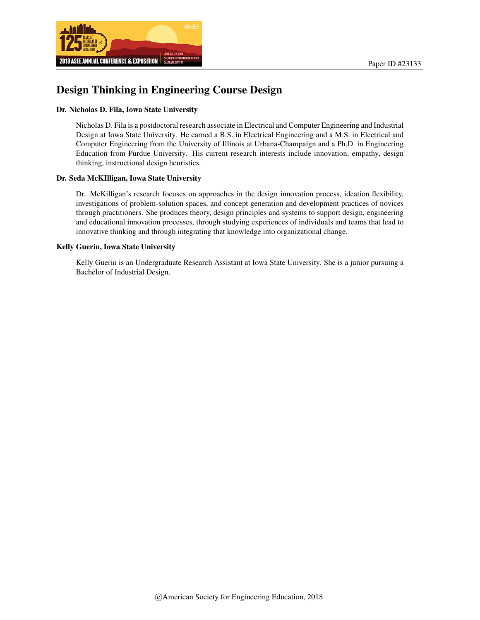

# Design Thinking in Engineering Course Design

#### Dr. Nicholas D. Fila, Iowa State University

Nicholas D. Fila is a postdoctoral research associate in Electrical and Computer Engineering and Industrial Design at Iowa State University. He earned a B.S. in Electrical Engineering and a M.S. in Electrical and Computer Engineering from the University of Illinois at Urbana-Champaign and a Ph.D. in Engineering Education from Purdue University. His current research interests include innovation, empathy, design thinking, instructional design heuristics.

#### Dr. Seda McKIlligan, Iowa State University

Dr. McKilligan's research focuses on approaches in the design innovation process, ideation flexibility, investigations of problem-solution spaces, and concept generation and development practices of novices through practitioners. She produces theory, design principles and systems to support design, engineering and educational innovation processes, through studying experiences of individuals and teams that lead to innovative thinking and through integrating that knowledge into organizational change.

#### Kelly Guerin, Iowa State University

Kelly Guerin is an Undergraduate Research Assistant at Iowa State University. She is a junior pursuing a Bachelor of Industrial Design.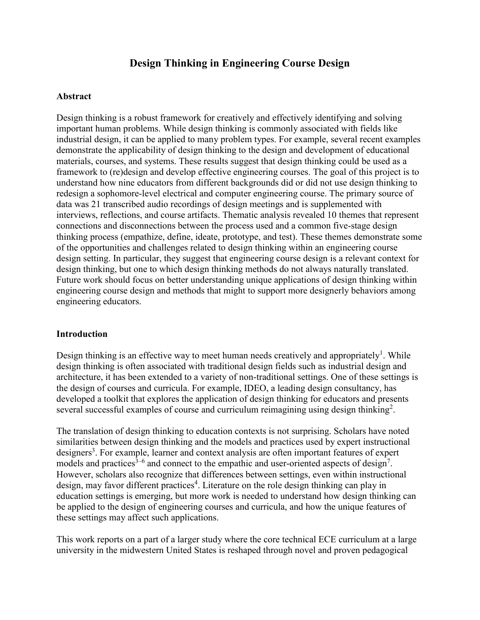# **Design Thinking in Engineering Course Design**

#### **Abstract**

Design thinking is a robust framework for creatively and effectively identifying and solving important human problems. While design thinking is commonly associated with fields like industrial design, it can be applied to many problem types. For example, several recent examples demonstrate the applicability of design thinking to the design and development of educational materials, courses, and systems. These results suggest that design thinking could be used as a framework to (re)design and develop effective engineering courses. The goal of this project is to understand how nine educators from different backgrounds did or did not use design thinking to redesign a sophomore-level electrical and computer engineering course. The primary source of data was 21 transcribed audio recordings of design meetings and is supplemented with interviews, reflections, and course artifacts. Thematic analysis revealed 10 themes that represent connections and disconnections between the process used and a common five-stage design thinking process (empathize, define, ideate, prototype, and test). These themes demonstrate some of the opportunities and challenges related to design thinking within an engineering course design setting. In particular, they suggest that engineering course design is a relevant context for design thinking, but one to which design thinking methods do not always naturally translated. Future work should focus on better understanding unique applications of design thinking within engineering course design and methods that might to support more designerly behaviors among engineering educators.

### **Introduction**

Design thinking is an effective way to meet human needs creatively and appropriately<sup>1</sup>. While design thinking is often associated with traditional design fields such as industrial design and architecture, it has been extended to a variety of non-traditional settings. One of these settings is the design of courses and curricula. For example, IDEO, a leading design consultancy, has developed a toolkit that explores the application of design thinking for educators and presents several successful examples of course and curriculum reimagining using design thinking<sup>2</sup>.

The translation of design thinking to education contexts is not surprising. Scholars have noted similarities between design thinking and the models and practices used by expert instructional designers<sup>3</sup>. For example, learner and context analysis are often important features of expert models and practices<sup>3–6</sup> and connect to the empathic and user-oriented aspects of design<sup>7</sup>. However, scholars also recognize that differences between settings, even within instructional design, may favor different practices<sup>4</sup>. Literature on the role design thinking can play in education settings is emerging, but more work is needed to understand how design thinking can be applied to the design of engineering courses and curricula, and how the unique features of these settings may affect such applications.

This work reports on a part of a larger study where the core technical ECE curriculum at a large university in the midwestern United States is reshaped through novel and proven pedagogical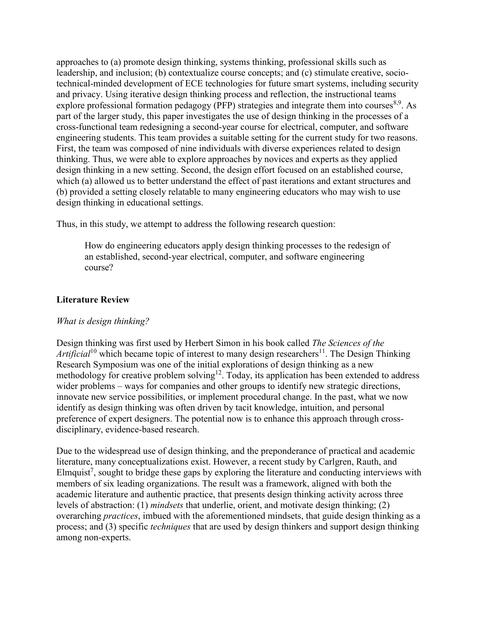approaches to (a) promote design thinking, systems thinking, professional skills such as leadership, and inclusion; (b) contextualize course concepts; and (c) stimulate creative, sociotechnical-minded development of ECE technologies for future smart systems, including security and privacy. Using iterative design thinking process and reflection, the instructional teams explore professional formation pedagogy (PFP) strategies and integrate them into courses<sup>8,9</sup>. As part of the larger study, this paper investigates the use of design thinking in the processes of a cross-functional team redesigning a second-year course for electrical, computer, and software engineering students. This team provides a suitable setting for the current study for two reasons. First, the team was composed of nine individuals with diverse experiences related to design thinking. Thus, we were able to explore approaches by novices and experts as they applied design thinking in a new setting. Second, the design effort focused on an established course, which (a) allowed us to better understand the effect of past iterations and extant structures and (b) provided a setting closely relatable to many engineering educators who may wish to use design thinking in educational settings.

Thus, in this study, we attempt to address the following research question:

How do engineering educators apply design thinking processes to the redesign of an established, second-year electrical, computer, and software engineering course?

# **Literature Review**

### *What is design thinking?*

Design thinking was first used by Herbert Simon in his book called *The Sciences of the Artificial*<sup>10</sup> which became topic of interest to many design researchers<sup>11</sup>. The Design Thinking Research Symposium was one of the initial explorations of design thinking as a new methodology for creative problem solving<sup>12</sup>. Today, its application has been extended to address wider problems – ways for companies and other groups to identify new strategic directions, innovate new service possibilities, or implement procedural change. In the past, what we now identify as design thinking was often driven by tacit knowledge, intuition, and personal preference of expert designers. The potential now is to enhance this approach through crossdisciplinary, evidence-based research.

Due to the widespread use of design thinking, and the preponderance of practical and academic literature, many conceptualizations exist. However, a recent study by Carlgren, Rauth, and Elmquist<sup>7</sup>, sought to bridge these gaps by exploring the literature and conducting interviews with members of six leading organizations. The result was a framework, aligned with both the academic literature and authentic practice, that presents design thinking activity across three levels of abstraction: (1) *mindsets* that underlie, orient, and motivate design thinking; (2) overarching *practices*, imbued with the aforementioned mindsets, that guide design thinking as a process; and (3) specific *techniques* that are used by design thinkers and support design thinking among non-experts.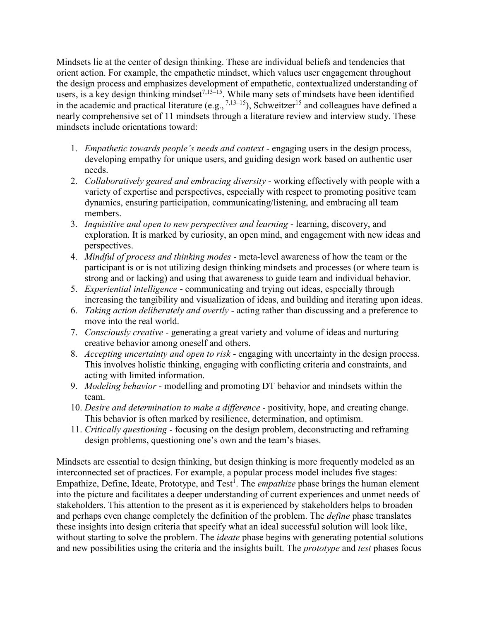Mindsets lie at the center of design thinking. These are individual beliefs and tendencies that orient action. For example, the empathetic mindset, which values user engagement throughout the design process and emphasizes development of empathetic, contextualized understanding of users, is a key design thinking mindset<sup>7,13–15</sup>. While many sets of mindsets have been identified in the academic and practical literature  $(e.g., <sup>7,13–15</sup>)$ , Schweitzer<sup>15</sup> and colleagues have defined a nearly comprehensive set of 11 mindsets through a literature review and interview study. These mindsets include orientations toward:

- 1. *Empathetic towards people's needs and context* engaging users in the design process, developing empathy for unique users, and guiding design work based on authentic user needs.
- 2. *Collaboratively geared and embracing diversity* working effectively with people with a variety of expertise and perspectives, especially with respect to promoting positive team dynamics, ensuring participation, communicating/listening, and embracing all team members.
- 3. *Inquisitive and open to new perspectives and learning* learning, discovery, and exploration. It is marked by curiosity, an open mind, and engagement with new ideas and perspectives.
- 4. *Mindful of process and thinking modes* meta-level awareness of how the team or the participant is or is not utilizing design thinking mindsets and processes (or where team is strong and or lacking) and using that awareness to guide team and individual behavior.
- 5. *Experiential intelligence* communicating and trying out ideas, especially through increasing the tangibility and visualization of ideas, and building and iterating upon ideas.
- 6. *Taking action deliberately and overtly* acting rather than discussing and a preference to move into the real world.
- 7. *Consciously creative* generating a great variety and volume of ideas and nurturing creative behavior among oneself and others.
- 8. *Accepting uncertainty and open to risk* engaging with uncertainty in the design process. This involves holistic thinking, engaging with conflicting criteria and constraints, and acting with limited information.
- 9. *Modeling behavior* modelling and promoting DT behavior and mindsets within the team.
- 10. *Desire and determination to make a difference* positivity, hope, and creating change. This behavior is often marked by resilience, determination, and optimism.
- 11. *Critically questioning* focusing on the design problem, deconstructing and reframing design problems, questioning one's own and the team's biases.

Mindsets are essential to design thinking, but design thinking is more frequently modeled as an interconnected set of practices. For example, a popular process model includes five stages: Empathize, Define, Ideate, Prototype, and Test<sup>1</sup>. The *empathize* phase brings the human element into the picture and facilitates a deeper understanding of current experiences and unmet needs of stakeholders. This attention to the present as it is experienced by stakeholders helps to broaden and perhaps even change completely the definition of the problem. The *define* phase translates these insights into design criteria that specify what an ideal successful solution will look like, without starting to solve the problem. The *ideate* phase begins with generating potential solutions and new possibilities using the criteria and the insights built. The *prototype* and *test* phases focus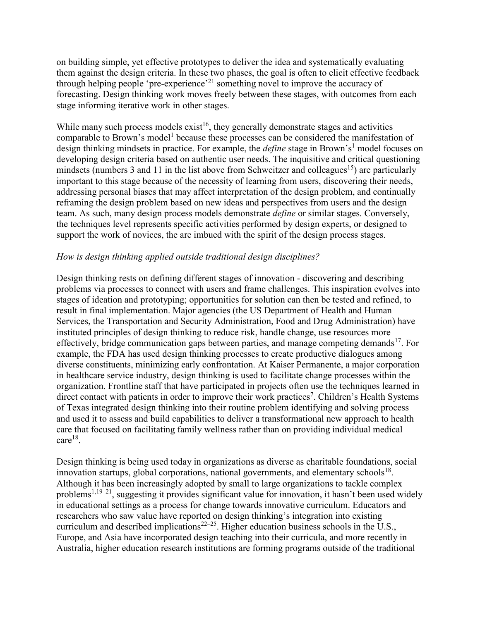on building simple, yet effective prototypes to deliver the idea and systematically evaluating them against the design criteria. In these two phases, the goal is often to elicit effective feedback through helping people 'pre-experience'<sup>21</sup> something novel to improve the accuracy of forecasting. Design thinking work moves freely between these stages, with outcomes from each stage informing iterative work in other stages.

While many such process models  $exist<sup>16</sup>$ , they generally demonstrate stages and activities comparable to Brown's model<sup>1</sup> because these processes can be considered the manifestation of design thinking mindsets in practice. For example, the *define* stage in Brown's<sup>1</sup> model focuses on developing design criteria based on authentic user needs. The inquisitive and critical questioning mindsets (numbers 3 and 11 in the list above from Schweitzer and colleagues<sup>15</sup>) are particularly important to this stage because of the necessity of learning from users, discovering their needs, addressing personal biases that may affect interpretation of the design problem, and continually reframing the design problem based on new ideas and perspectives from users and the design team. As such, many design process models demonstrate *define* or similar stages. Conversely, the techniques level represents specific activities performed by design experts, or designed to support the work of novices, the are imbued with the spirit of the design process stages.

# *How is design thinking applied outside traditional design disciplines?*

Design thinking rests on defining different stages of innovation - discovering and describing problems via processes to connect with users and frame challenges. This inspiration evolves into stages of ideation and prototyping; opportunities for solution can then be tested and refined, to result in final implementation. Major agencies (the US Department of Health and Human Services, the Transportation and Security Administration, Food and Drug Administration) have instituted principles of design thinking to reduce risk, handle change, use resources more effectively, bridge communication gaps between parties, and manage competing demands<sup>17</sup>. For example, the FDA has used design thinking processes to create productive dialogues among diverse constituents, minimizing early confrontation. At Kaiser Permanente, a major corporation in healthcare service industry, design thinking is used to facilitate change processes within the organization. Frontline staff that have participated in projects often use the techniques learned in direct contact with patients in order to improve their work practices<sup>7</sup>. Children's Health Systems of Texas integrated design thinking into their routine problem identifying and solving process and used it to assess and build capabilities to deliver a transformational new approach to health care that focused on facilitating family wellness rather than on providing individual medical  $care<sup>18</sup>$ .

Design thinking is being used today in organizations as diverse as charitable foundations, social innovation startups, global corporations, national governments, and elementary schools<sup>18</sup>. Although it has been increasingly adopted by small to large organizations to tackle complex problems<sup>1,19–21</sup>, suggesting it provides significant value for innovation, it hasn't been used widely in educational settings as a process for change towards innovative curriculum. Educators and researchers who saw value have reported on design thinking's integration into existing curriculum and described implications<sup>22–25</sup>. Higher education business schools in the U.S., Europe, and Asia have incorporated design teaching into their curricula, and more recently in Australia, higher education research institutions are forming programs outside of the traditional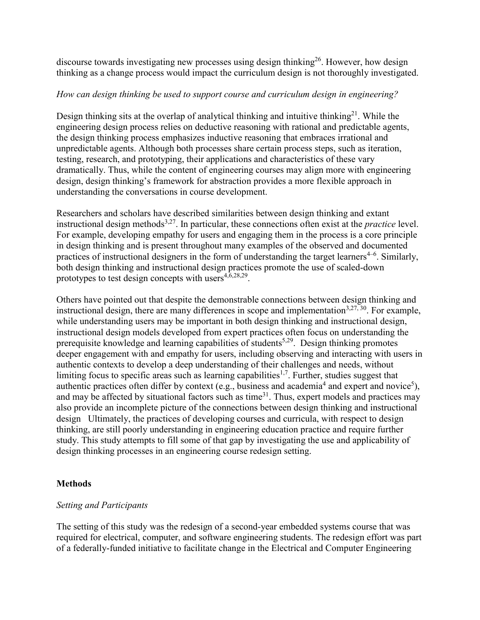discourse towards investigating new processes using design thinking<sup>26</sup>. However, how design thinking as a change process would impact the curriculum design is not thoroughly investigated.

# *How can design thinking be used to support course and curriculum design in engineering?*

Design thinking sits at the overlap of analytical thinking and intuitive thinking<sup>21</sup>. While the engineering design process relies on deductive reasoning with rational and predictable agents, the design thinking process emphasizes inductive reasoning that embraces irrational and unpredictable agents. Although both processes share certain process steps, such as iteration, testing, research, and prototyping, their applications and characteristics of these vary dramatically. Thus, while the content of engineering courses may align more with engineering design, design thinking's framework for abstraction provides a more flexible approach in understanding the conversations in course development.

Researchers and scholars have described similarities between design thinking and extant instructional design methods3,27. In particular, these connections often exist at the *practice* level. For example, developing empathy for users and engaging them in the process is a core principle in design thinking and is present throughout many examples of the observed and documented practices of instructional designers in the form of understanding the target learners<sup>4-6</sup>. Similarly, both design thinking and instructional design practices promote the use of scaled-down prototypes to test design concepts with users $4,6,28,29$ .

Others have pointed out that despite the demonstrable connections between design thinking and instructional design, there are many differences in scope and implementation<sup>3,27, 30</sup>. For example, while understanding users may be important in both design thinking and instructional design, instructional design models developed from expert practices often focus on understanding the prerequisite knowledge and learning capabilities of students<sup>5,29</sup>. Design thinking promotes deeper engagement with and empathy for users, including observing and interacting with users in authentic contexts to develop a deep understanding of their challenges and needs, without limiting focus to specific areas such as learning capabilities<sup>1,7</sup>. Further, studies suggest that authentic practices often differ by context (e.g., business and academia<sup>4</sup> and expert and novice<sup>5</sup>), and may be affected by situational factors such as time<sup>31</sup>. Thus, expert models and practices may also provide an incomplete picture of the connections between design thinking and instructional design Ultimately, the practices of developing courses and curricula, with respect to design thinking, are still poorly understanding in engineering education practice and require further study. This study attempts to fill some of that gap by investigating the use and applicability of design thinking processes in an engineering course redesign setting.

# **Methods**

### *Setting and Participants*

The setting of this study was the redesign of a second-year embedded systems course that was required for electrical, computer, and software engineering students. The redesign effort was part of a federally-funded initiative to facilitate change in the Electrical and Computer Engineering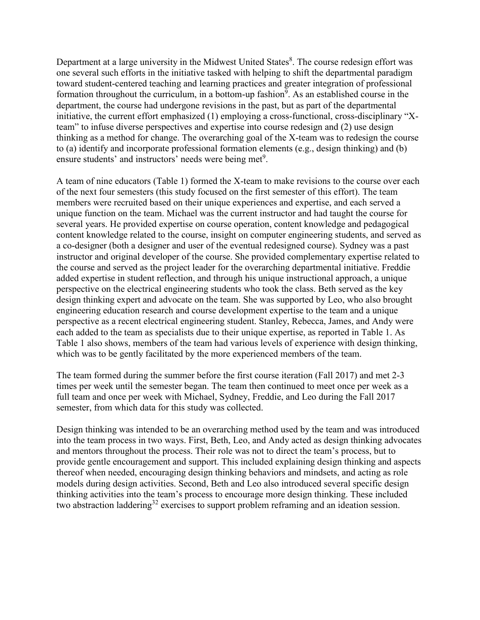Department at a large university in the Midwest United States<sup>8</sup>. The course redesign effort was one several such efforts in the initiative tasked with helping to shift the departmental paradigm toward student-centered teaching and learning practices and greater integration of professional formation throughout the curriculum, in a bottom-up fashion<sup>9</sup>. As an established course in the department, the course had undergone revisions in the past, but as part of the departmental initiative, the current effort emphasized (1) employing a cross-functional, cross-disciplinary "Xteam" to infuse diverse perspectives and expertise into course redesign and (2) use design thinking as a method for change. The overarching goal of the X-team was to redesign the course to (a) identify and incorporate professional formation elements (e.g., design thinking) and (b) ensure students' and instructors' needs were being met<sup>9</sup>.

A team of nine educators (Table 1) formed the X-team to make revisions to the course over each of the next four semesters (this study focused on the first semester of this effort). The team members were recruited based on their unique experiences and expertise, and each served a unique function on the team. Michael was the current instructor and had taught the course for several years. He provided expertise on course operation, content knowledge and pedagogical content knowledge related to the course, insight on computer engineering students, and served as a co-designer (both a designer and user of the eventual redesigned course). Sydney was a past instructor and original developer of the course. She provided complementary expertise related to the course and served as the project leader for the overarching departmental initiative. Freddie added expertise in student reflection, and through his unique instructional approach, a unique perspective on the electrical engineering students who took the class. Beth served as the key design thinking expert and advocate on the team. She was supported by Leo, who also brought engineering education research and course development expertise to the team and a unique perspective as a recent electrical engineering student. Stanley, Rebecca, James, and Andy were each added to the team as specialists due to their unique expertise, as reported in Table 1. As Table 1 also shows, members of the team had various levels of experience with design thinking, which was to be gently facilitated by the more experienced members of the team.

The team formed during the summer before the first course iteration (Fall 2017) and met 2-3 times per week until the semester began. The team then continued to meet once per week as a full team and once per week with Michael, Sydney, Freddie, and Leo during the Fall 2017 semester, from which data for this study was collected.

Design thinking was intended to be an overarching method used by the team and was introduced into the team process in two ways. First, Beth, Leo, and Andy acted as design thinking advocates and mentors throughout the process. Their role was not to direct the team's process, but to provide gentle encouragement and support. This included explaining design thinking and aspects thereof when needed, encouraging design thinking behaviors and mindsets, and acting as role models during design activities. Second, Beth and Leo also introduced several specific design thinking activities into the team's process to encourage more design thinking. These included two abstraction laddering<sup>32</sup> exercises to support problem reframing and an ideation session.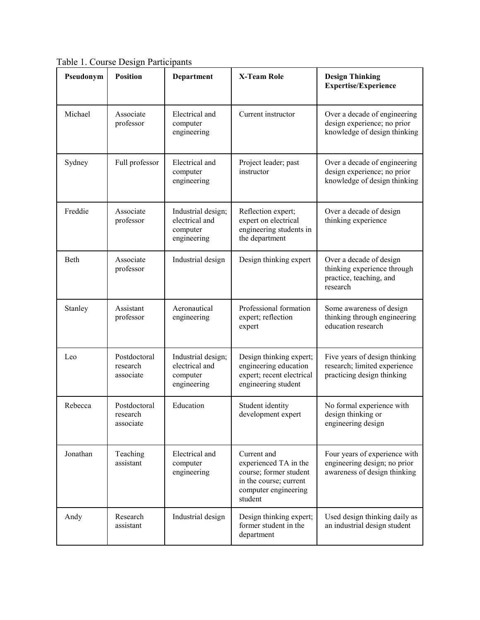**Pseudonym Position Department X-Team Role Design Thinking Expertise/Experience** Michael Associate professor Electrical and computer engineering Current instructor Current instructor Current instructor Current and Over a decade of engineering design experience; no prior knowledge of design thinking Sydney Full professor Electrical and computer engineering Project leader; past instructor Over a decade of engineering design experience; no prior knowledge of design thinking Freddie Associate professor Industrial design; electrical and computer engineering Reflection expert; expert on electrical engineering students in the department Over a decade of design thinking experience Beth Associate professor Industrial design Design thinking expert Over a decade of design thinking experience through practice, teaching, and research Stanley Assistant professor Aeronautical engineering Professional formation expert; reflection expert Some awareness of design thinking through engineering education research Leo Postdoctoral research associate Industrial design; electrical and computer engineering Design thinking expert; engineering education expert; recent electrical engineering student Five years of design thinking research; limited experience practicing design thinking Rebecca | Postdoctoral research associate Education Student identity development expert No formal experience with design thinking or engineering design Jonathan Teaching assistant Electrical and computer engineering Current and experienced TA in the course; former student in the course; current computer engineering student Four years of experience with engineering design; no prior awareness of design thinking Andy Research assistant Industrial design Design thinking expert; former student in the department Used design thinking daily as an industrial design student

Table 1. Course Design Participants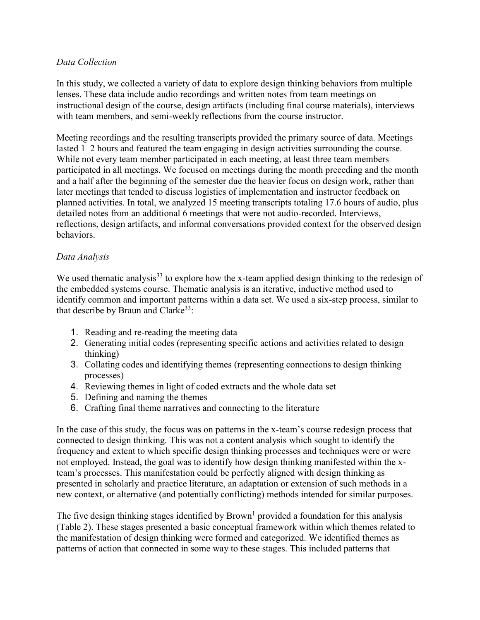# *Data Collection*

In this study, we collected a variety of data to explore design thinking behaviors from multiple lenses. These data include audio recordings and written notes from team meetings on instructional design of the course, design artifacts (including final course materials), interviews with team members, and semi-weekly reflections from the course instructor.

Meeting recordings and the resulting transcripts provided the primary source of data. Meetings lasted 1–2 hours and featured the team engaging in design activities surrounding the course. While not every team member participated in each meeting, at least three team members participated in all meetings. We focused on meetings during the month preceding and the month and a half after the beginning of the semester due the heavier focus on design work, rather than later meetings that tended to discuss logistics of implementation and instructor feedback on planned activities. In total, we analyzed 15 meeting transcripts totaling 17.6 hours of audio, plus detailed notes from an additional 6 meetings that were not audio-recorded. Interviews, reflections, design artifacts, and informal conversations provided context for the observed design behaviors.

# *Data Analysis*

We used thematic analysis<sup>33</sup> to explore how the x-team applied design thinking to the redesign of the embedded systems course. Thematic analysis is an iterative, inductive method used to identify common and important patterns within a data set. We used a six-step process, similar to that describe by Braun and Clarke<sup>33</sup>:

- 1. Reading and re-reading the meeting data
- 2. Generating initial codes (representing specific actions and activities related to design thinking)
- 3. Collating codes and identifying themes (representing connections to design thinking processes)
- 4. Reviewing themes in light of coded extracts and the whole data set
- 5. Defining and naming the themes
- 6. Crafting final theme narratives and connecting to the literature

In the case of this study, the focus was on patterns in the x-team's course redesign process that connected to design thinking. This was not a content analysis which sought to identify the frequency and extent to which specific design thinking processes and techniques were or were not employed. Instead, the goal was to identify how design thinking manifested within the xteam's processes. This manifestation could be perfectly aligned with design thinking as presented in scholarly and practice literature, an adaptation or extension of such methods in a new context, or alternative (and potentially conflicting) methods intended for similar purposes.

The five design thinking stages identified by  $Brown<sup>1</sup>$  provided a foundation for this analysis (Table 2). These stages presented a basic conceptual framework within which themes related to the manifestation of design thinking were formed and categorized. We identified themes as patterns of action that connected in some way to these stages. This included patterns that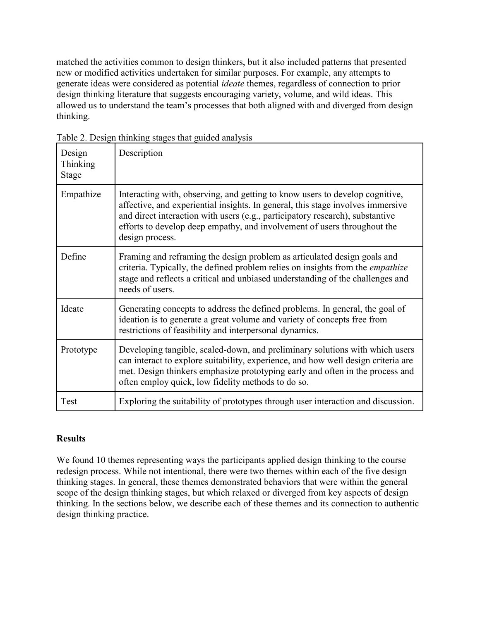matched the activities common to design thinkers, but it also included patterns that presented new or modified activities undertaken for similar purposes. For example, any attempts to generate ideas were considered as potential *ideate* themes, regardless of connection to prior design thinking literature that suggests encouraging variety, volume, and wild ideas. This allowed us to understand the team's processes that both aligned with and diverged from design thinking.

| Design<br>Thinking<br>Stage | Description                                                                                                                                                                                                                                                                                                                                     |
|-----------------------------|-------------------------------------------------------------------------------------------------------------------------------------------------------------------------------------------------------------------------------------------------------------------------------------------------------------------------------------------------|
| Empathize                   | Interacting with, observing, and getting to know users to develop cognitive,<br>affective, and experiential insights. In general, this stage involves immersive<br>and direct interaction with users (e.g., participatory research), substantive<br>efforts to develop deep empathy, and involvement of users throughout the<br>design process. |
| Define                      | Framing and reframing the design problem as articulated design goals and<br>criteria. Typically, the defined problem relies on insights from the empathize<br>stage and reflects a critical and unbiased understanding of the challenges and<br>needs of users.                                                                                 |
| Ideate                      | Generating concepts to address the defined problems. In general, the goal of<br>ideation is to generate a great volume and variety of concepts free from<br>restrictions of feasibility and interpersonal dynamics.                                                                                                                             |
| Prototype                   | Developing tangible, scaled-down, and preliminary solutions with which users<br>can interact to explore suitability, experience, and how well design criteria are<br>met. Design thinkers emphasize prototyping early and often in the process and<br>often employ quick, low fidelity methods to do so.                                        |
| Test                        | Exploring the suitability of prototypes through user interaction and discussion.                                                                                                                                                                                                                                                                |

Table 2. Design thinking stages that guided analysis

# **Results**

We found 10 themes representing ways the participants applied design thinking to the course redesign process. While not intentional, there were two themes within each of the five design thinking stages. In general, these themes demonstrated behaviors that were within the general scope of the design thinking stages, but which relaxed or diverged from key aspects of design thinking. In the sections below, we describe each of these themes and its connection to authentic design thinking practice.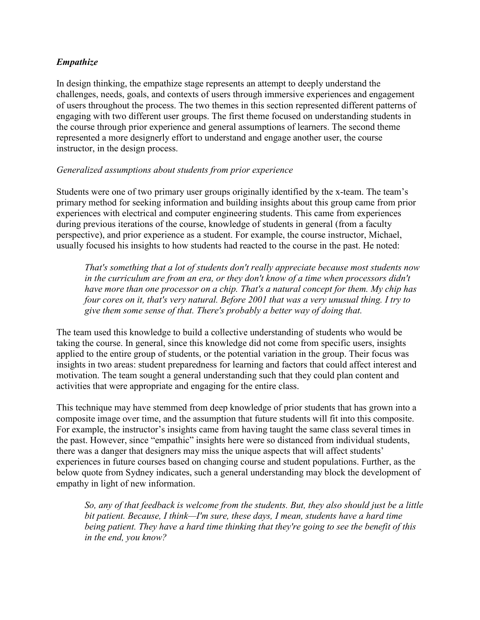# *Empathize*

In design thinking, the empathize stage represents an attempt to deeply understand the challenges, needs, goals, and contexts of users through immersive experiences and engagement of users throughout the process. The two themes in this section represented different patterns of engaging with two different user groups. The first theme focused on understanding students in the course through prior experience and general assumptions of learners. The second theme represented a more designerly effort to understand and engage another user, the course instructor, in the design process.

### *Generalized assumptions about students from prior experience*

Students were one of two primary user groups originally identified by the x-team. The team's primary method for seeking information and building insights about this group came from prior experiences with electrical and computer engineering students. This came from experiences during previous iterations of the course, knowledge of students in general (from a faculty perspective), and prior experience as a student. For example, the course instructor, Michael, usually focused his insights to how students had reacted to the course in the past. He noted:

*That's something that a lot of students don't really appreciate because most students now in the curriculum are from an era, or they don't know of a time when processors didn't have more than one processor on a chip. That's a natural concept for them. My chip has four cores on it, that's very natural. Before 2001 that was a very unusual thing. I try to give them some sense of that. There's probably a better way of doing that.*

The team used this knowledge to build a collective understanding of students who would be taking the course. In general, since this knowledge did not come from specific users, insights applied to the entire group of students, or the potential variation in the group. Their focus was insights in two areas: student preparedness for learning and factors that could affect interest and motivation. The team sought a general understanding such that they could plan content and activities that were appropriate and engaging for the entire class.

This technique may have stemmed from deep knowledge of prior students that has grown into a composite image over time, and the assumption that future students will fit into this composite. For example, the instructor's insights came from having taught the same class several times in the past. However, since "empathic" insights here were so distanced from individual students, there was a danger that designers may miss the unique aspects that will affect students' experiences in future courses based on changing course and student populations. Further, as the below quote from Sydney indicates, such a general understanding may block the development of empathy in light of new information.

*So, any of that feedback is welcome from the students. But, they also should just be a little bit patient. Because, I think—I'm sure, these days, I mean, students have a hard time being patient. They have a hard time thinking that they're going to see the benefit of this in the end, you know?*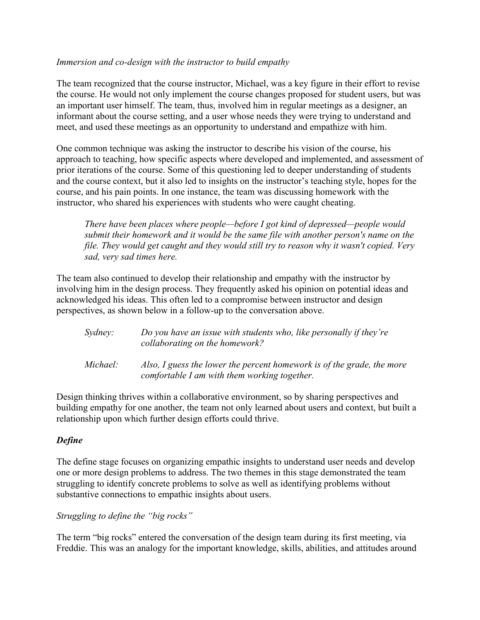### *Immersion and co-design with the instructor to build empathy*

The team recognized that the course instructor, Michael, was a key figure in their effort to revise the course. He would not only implement the course changes proposed for student users, but was an important user himself. The team, thus, involved him in regular meetings as a designer, an informant about the course setting, and a user whose needs they were trying to understand and meet, and used these meetings as an opportunity to understand and empathize with him.

One common technique was asking the instructor to describe his vision of the course, his approach to teaching, how specific aspects where developed and implemented, and assessment of prior iterations of the course. Some of this questioning led to deeper understanding of students and the course context, but it also led to insights on the instructor's teaching style, hopes for the course, and his pain points. In one instance, the team was discussing homework with the instructor, who shared his experiences with students who were caught cheating.

*There have been places where people—before I got kind of depressed—people would submit their homework and it would be the same file with another person's name on the file. They would get caught and they would still try to reason why it wasn't copied. Very sad, very sad times here.*

The team also continued to develop their relationship and empathy with the instructor by involving him in the design process. They frequently asked his opinion on potential ideas and acknowledged his ideas. This often led to a compromise between instructor and design perspectives, as shown below in a follow-up to the conversation above.

| Sydney:  | Do you have an issue with students who, like personally if they're<br>collaborating on the homework?                   |
|----------|------------------------------------------------------------------------------------------------------------------------|
| Michael: | Also, I guess the lower the percent homework is of the grade, the more<br>comfortable I am with them working together. |

Design thinking thrives within a collaborative environment, so by sharing perspectives and building empathy for one another, the team not only learned about users and context, but built a relationship upon which further design efforts could thrive.

### *Define*

The define stage focuses on organizing empathic insights to understand user needs and develop one or more design problems to address. The two themes in this stage demonstrated the team struggling to identify concrete problems to solve as well as identifying problems without substantive connections to empathic insights about users.

*Struggling to define the "big rocks"*

The term "big rocks" entered the conversation of the design team during its first meeting, via Freddie. This was an analogy for the important knowledge, skills, abilities, and attitudes around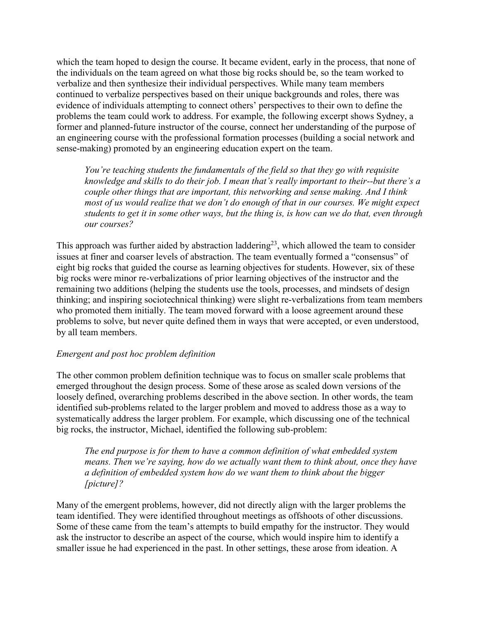which the team hoped to design the course. It became evident, early in the process, that none of the individuals on the team agreed on what those big rocks should be, so the team worked to verbalize and then synthesize their individual perspectives. While many team members continued to verbalize perspectives based on their unique backgrounds and roles, there was evidence of individuals attempting to connect others' perspectives to their own to define the problems the team could work to address. For example, the following excerpt shows Sydney, a former and planned-future instructor of the course, connect her understanding of the purpose of an engineering course with the professional formation processes (building a social network and sense-making) promoted by an engineering education expert on the team.

*You're teaching students the fundamentals of the field so that they go with requisite knowledge and skills to do their job. I mean that's really important to their--but there's a couple other things that are important, this networking and sense making. And I think most of us would realize that we don't do enough of that in our courses. We might expect students to get it in some other ways, but the thing is, is how can we do that, even through our courses?*

This approach was further aided by abstraction laddering<sup>23</sup>, which allowed the team to consider issues at finer and coarser levels of abstraction. The team eventually formed a "consensus" of eight big rocks that guided the course as learning objectives for students. However, six of these big rocks were minor re-verbalizations of prior learning objectives of the instructor and the remaining two additions (helping the students use the tools, processes, and mindsets of design thinking; and inspiring sociotechnical thinking) were slight re-verbalizations from team members who promoted them initially. The team moved forward with a loose agreement around these problems to solve, but never quite defined them in ways that were accepted, or even understood, by all team members.

### *Emergent and post hoc problem definition*

The other common problem definition technique was to focus on smaller scale problems that emerged throughout the design process. Some of these arose as scaled down versions of the loosely defined, overarching problems described in the above section. In other words, the team identified sub-problems related to the larger problem and moved to address those as a way to systematically address the larger problem. For example, which discussing one of the technical big rocks, the instructor, Michael, identified the following sub-problem:

*The end purpose is for them to have a common definition of what embedded system means. Then we're saying, how do we actually want them to think about, once they have a definition of embedded system how do we want them to think about the bigger [picture]?*

Many of the emergent problems, however, did not directly align with the larger problems the team identified. They were identified throughout meetings as offshoots of other discussions. Some of these came from the team's attempts to build empathy for the instructor. They would ask the instructor to describe an aspect of the course, which would inspire him to identify a smaller issue he had experienced in the past. In other settings, these arose from ideation. A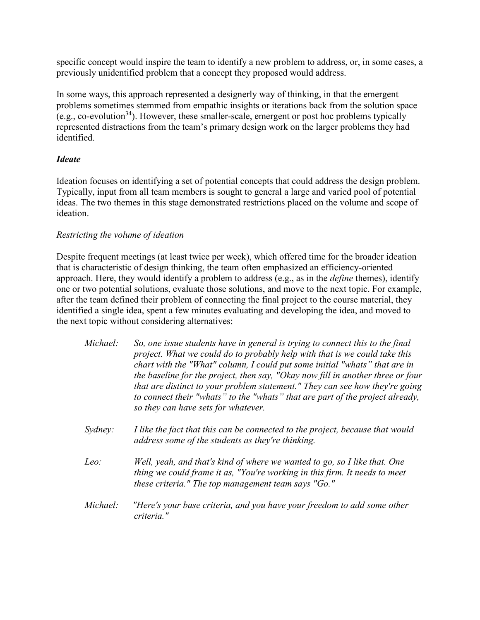specific concept would inspire the team to identify a new problem to address, or, in some cases, a previously unidentified problem that a concept they proposed would address.

In some ways, this approach represented a designerly way of thinking, in that the emergent problems sometimes stemmed from empathic insights or iterations back from the solution space (e.g., co-evolution<sup>34</sup>). However, these smaller-scale, emergent or post hoc problems typically represented distractions from the team's primary design work on the larger problems they had identified.

# *Ideate*

Ideation focuses on identifying a set of potential concepts that could address the design problem. Typically, input from all team members is sought to general a large and varied pool of potential ideas. The two themes in this stage demonstrated restrictions placed on the volume and scope of ideation.

# *Restricting the volume of ideation*

Despite frequent meetings (at least twice per week), which offered time for the broader ideation that is characteristic of design thinking, the team often emphasized an efficiency-oriented approach. Here, they would identify a problem to address (e.g., as in the *define* themes), identify one or two potential solutions, evaluate those solutions, and move to the next topic. For example, after the team defined their problem of connecting the final project to the course material, they identified a single idea, spent a few minutes evaluating and developing the idea, and moved to the next topic without considering alternatives:

| Michael: | So, one issue students have in general is trying to connect this to the final<br>project. What we could do to probably help with that is we could take this<br>chart with the "What" column, I could put some initial "whats" that are in        |
|----------|--------------------------------------------------------------------------------------------------------------------------------------------------------------------------------------------------------------------------------------------------|
|          | the baseline for the project, then say, "Okay now fill in another three or four<br>that are distinct to your problem statement." They can see how they're going<br>to connect their "whats" to the "whats" that are part of the project already, |
|          | so they can have sets for whatever.                                                                                                                                                                                                              |

- *Sydney: I like the fact that this can be connected to the project, because that would address some of the students as they're thinking.*
- *Leo: Well, yeah, and that's kind of where we wanted to go, so I like that. One thing we could frame it as, "You're working in this firm. It needs to meet these criteria." The top management team says "Go."*
- *Michael: "Here's your base criteria, and you have your freedom to add some other criteria."*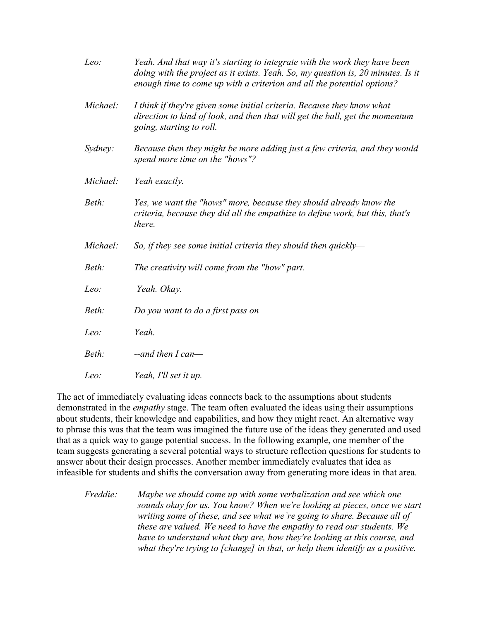| Yeah. And that way it's starting to integrate with the work they have been<br>doing with the project as it exists. Yeah. So, my question is, 20 minutes. Is it<br>enough time to come up with a criterion and all the potential options? |
|------------------------------------------------------------------------------------------------------------------------------------------------------------------------------------------------------------------------------------------|
| I think if they're given some initial criteria. Because they know what<br>direction to kind of look, and then that will get the ball, get the momentum<br>going, starting to roll.                                                       |
| Because then they might be more adding just a few criteria, and they would<br>spend more time on the "hows"?                                                                                                                             |
| Yeah exactly.                                                                                                                                                                                                                            |
| Yes, we want the "hows" more, because they should already know the<br>criteria, because they did all the empathize to define work, but this, that's<br>there.                                                                            |
| So, if they see some initial criteria they should then quickly-                                                                                                                                                                          |
| The creativity will come from the "how" part.                                                                                                                                                                                            |
| Yeah. Okay.                                                                                                                                                                                                                              |
| Do you want to do a first pass on-                                                                                                                                                                                                       |
| Yeah.                                                                                                                                                                                                                                    |
| $-$ and then I can $-$                                                                                                                                                                                                                   |
| Yeah, I'll set it up.                                                                                                                                                                                                                    |
|                                                                                                                                                                                                                                          |

The act of immediately evaluating ideas connects back to the assumptions about students demonstrated in the *empathy* stage. The team often evaluated the ideas using their assumptions about students, their knowledge and capabilities, and how they might react. An alternative way to phrase this was that the team was imagined the future use of the ideas they generated and used that as a quick way to gauge potential success. In the following example, one member of the team suggests generating a several potential ways to structure reflection questions for students to answer about their design processes. Another member immediately evaluates that idea as infeasible for students and shifts the conversation away from generating more ideas in that area.

*Freddie: Maybe we should come up with some verbalization and see which one sounds okay for us. You know? When we're looking at pieces, once we start writing some of these, and see what we're going to share. Because all of these are valued. We need to have the empathy to read our students. We have to understand what they are, how they're looking at this course, and what they're trying to [change] in that, or help them identify as a positive.*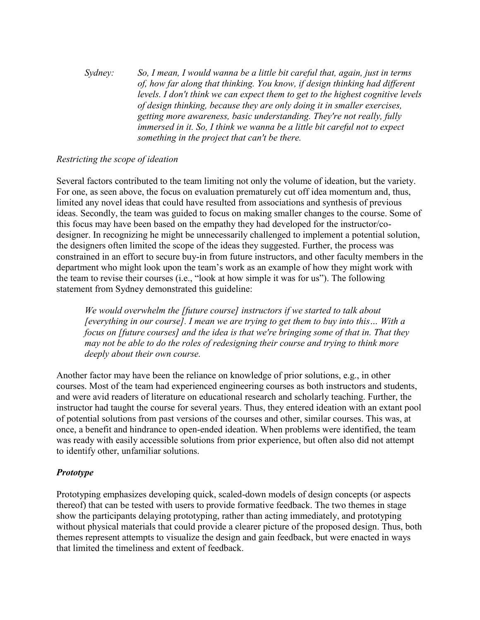*Sydney: So, I mean, I would wanna be a little bit careful that, again, just in terms of, how far along that thinking. You know, if design thinking had different levels. I don't think we can expect them to get to the highest cognitive levels of design thinking, because they are only doing it in smaller exercises, getting more awareness, basic understanding. They're not really, fully immersed in it. So, I think we wanna be a little bit careful not to expect something in the project that can't be there.*

# *Restricting the scope of ideation*

Several factors contributed to the team limiting not only the volume of ideation, but the variety. For one, as seen above, the focus on evaluation prematurely cut off idea momentum and, thus, limited any novel ideas that could have resulted from associations and synthesis of previous ideas. Secondly, the team was guided to focus on making smaller changes to the course. Some of this focus may have been based on the empathy they had developed for the instructor/codesigner. In recognizing he might be unnecessarily challenged to implement a potential solution, the designers often limited the scope of the ideas they suggested. Further, the process was constrained in an effort to secure buy-in from future instructors, and other faculty members in the department who might look upon the team's work as an example of how they might work with the team to revise their courses (i.e., "look at how simple it was for us"). The following statement from Sydney demonstrated this guideline:

*We would overwhelm the [future course] instructors if we started to talk about [everything in our course]. I mean we are trying to get them to buy into this… With a focus on [future courses] and the idea is that we're bringing some of that in. That they may not be able to do the roles of redesigning their course and trying to think more deeply about their own course.*

Another factor may have been the reliance on knowledge of prior solutions, e.g., in other courses. Most of the team had experienced engineering courses as both instructors and students, and were avid readers of literature on educational research and scholarly teaching. Further, the instructor had taught the course for several years. Thus, they entered ideation with an extant pool of potential solutions from past versions of the courses and other, similar courses. This was, at once, a benefit and hindrance to open-ended ideation. When problems were identified, the team was ready with easily accessible solutions from prior experience, but often also did not attempt to identify other, unfamiliar solutions.

# *Prototype*

Prototyping emphasizes developing quick, scaled-down models of design concepts (or aspects thereof) that can be tested with users to provide formative feedback. The two themes in stage show the participants delaying prototyping, rather than acting immediately, and prototyping without physical materials that could provide a clearer picture of the proposed design. Thus, both themes represent attempts to visualize the design and gain feedback, but were enacted in ways that limited the timeliness and extent of feedback.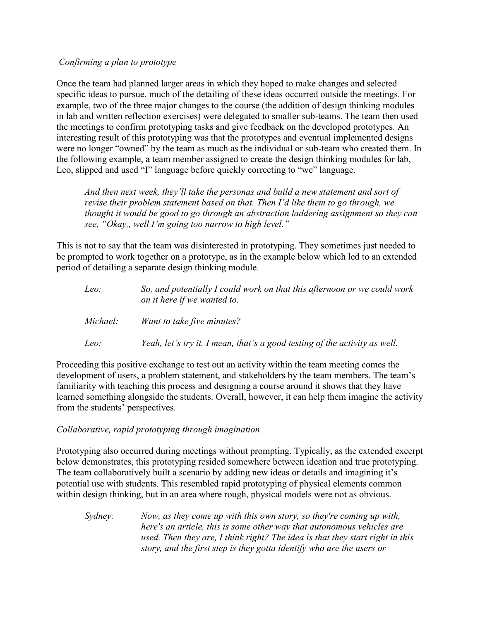# *Confirming a plan to prototype*

Once the team had planned larger areas in which they hoped to make changes and selected specific ideas to pursue, much of the detailing of these ideas occurred outside the meetings. For example, two of the three major changes to the course (the addition of design thinking modules in lab and written reflection exercises) were delegated to smaller sub-teams. The team then used the meetings to confirm prototyping tasks and give feedback on the developed prototypes. An interesting result of this prototyping was that the prototypes and eventual implemented designs were no longer "owned" by the team as much as the individual or sub-team who created them. In the following example, a team member assigned to create the design thinking modules for lab, Leo, slipped and used "I" language before quickly correcting to "we" language.

*And then next week, they'll take the personas and build a new statement and sort of revise their problem statement based on that. Then I'd like them to go through, we thought it would be good to go through an abstraction laddering assignment so they can see, "Okay,, well I'm going too narrow to high level."*

This is not to say that the team was disinterested in prototyping. They sometimes just needed to be prompted to work together on a prototype, as in the example below which led to an extended period of detailing a separate design thinking module.

| Leo:     | So, and potentially I could work on that this afternoon or we could work<br>on it here if we wanted to. |
|----------|---------------------------------------------------------------------------------------------------------|
| Michael: | Want to take five minutes?                                                                              |
| Leo:     | Yeah, let's try it. I mean, that's a good testing of the activity as well.                              |

Proceeding this positive exchange to test out an activity within the team meeting comes the development of users, a problem statement, and stakeholders by the team members. The team's familiarity with teaching this process and designing a course around it shows that they have learned something alongside the students. Overall, however, it can help them imagine the activity from the students' perspectives.

# *Collaborative, rapid prototyping through imagination*

Prototyping also occurred during meetings without prompting. Typically, as the extended excerpt below demonstrates, this prototyping resided somewhere between ideation and true prototyping. The team collaboratively built a scenario by adding new ideas or details and imagining it's potential use with students. This resembled rapid prototyping of physical elements common within design thinking, but in an area where rough, physical models were not as obvious.

*Sydney: Now, as they come up with this own story, so they're coming up with, here's an article, this is some other way that autonomous vehicles are used. Then they are, I think right? The idea is that they start right in this story, and the first step is they gotta identify who are the users or*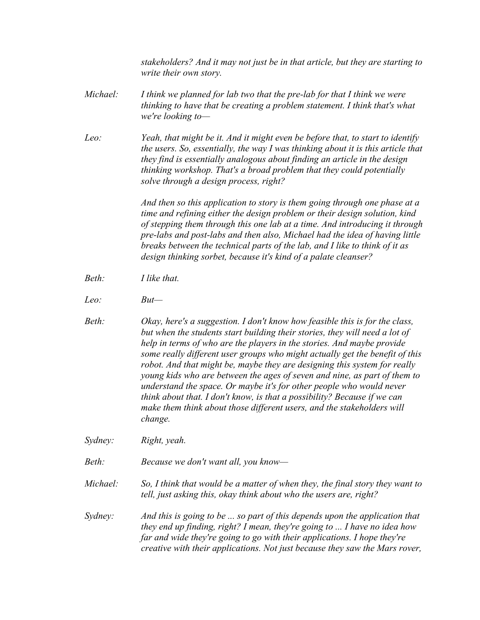*stakeholders? And it may not just be in that article, but they are starting to write their own story.*

- *Michael: I think we planned for lab two that the pre-lab for that I think we were thinking to have that be creating a problem statement. I think that's what we're looking to—*
- *Leo: Yeah, that might be it. And it might even be before that, to start to identify the users. So, essentially, the way I was thinking about it is this article that they find is essentially analogous about finding an article in the design thinking workshop. That's a broad problem that they could potentially solve through a design process, right?*

 *And then so this application to story is them going through one phase at a time and refining either the design problem or their design solution, kind of stepping them through this one lab at a time. And introducing it through pre-labs and post-labs and then also, Michael had the idea of having little breaks between the technical parts of the lab, and I like to think of it as design thinking sorbet, because it's kind of a palate cleanser?*

- *Beth: I like that.*
- *Leo: But—*
- *Beth: Okay, here's a suggestion. I don't know how feasible this is for the class, but when the students start building their stories, they will need a lot of help in terms of who are the players in the stories. And maybe provide some really different user groups who might actually get the benefit of this robot. And that might be, maybe they are designing this system for really young kids who are between the ages of seven and nine, as part of them to understand the space. Or maybe it's for other people who would never think about that. I don't know, is that a possibility? Because if we can make them think about those different users, and the stakeholders will change.*
- *Sydney: Right, yeah.*

*Beth: Because we don't want all, you know—*

*Michael: So, I think that would be a matter of when they, the final story they want to tell, just asking this, okay think about who the users are, right?*

*Sydney: And this is going to be ... so part of this depends upon the application that they end up finding, right? I mean, they're going to ... I have no idea how far and wide they're going to go with their applications. I hope they're creative with their applications. Not just because they saw the Mars rover,*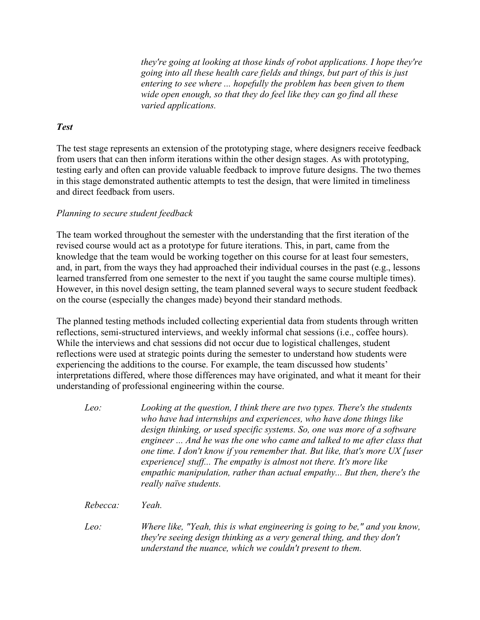*they're going at looking at those kinds of robot applications. I hope they're going into all these health care fields and things, but part of this is just entering to see where ... hopefully the problem has been given to them wide open enough, so that they do feel like they can go find all these varied applications.*

### *Test*

The test stage represents an extension of the prototyping stage, where designers receive feedback from users that can then inform iterations within the other design stages. As with prototyping, testing early and often can provide valuable feedback to improve future designs. The two themes in this stage demonstrated authentic attempts to test the design, that were limited in timeliness and direct feedback from users.

# *Planning to secure student feedback*

The team worked throughout the semester with the understanding that the first iteration of the revised course would act as a prototype for future iterations. This, in part, came from the knowledge that the team would be working together on this course for at least four semesters, and, in part, from the ways they had approached their individual courses in the past (e.g., lessons learned transferred from one semester to the next if you taught the same course multiple times). However, in this novel design setting, the team planned several ways to secure student feedback on the course (especially the changes made) beyond their standard methods.

The planned testing methods included collecting experiential data from students through written reflections, semi-structured interviews, and weekly informal chat sessions (i.e., coffee hours). While the interviews and chat sessions did not occur due to logistical challenges, student reflections were used at strategic points during the semester to understand how students were experiencing the additions to the course. For example, the team discussed how students' interpretations differed, where those differences may have originated, and what it meant for their understanding of professional engineering within the course.

- *Leo: Looking at the question, I think there are two types. There's the students who have had internships and experiences, who have done things like design thinking, or used specific systems. So, one was more of a software engineer ... And he was the one who came and talked to me after class that one time. I don't know if you remember that. But like, that's more UX [user experience] stuff... The empathy is almost not there. It's more like empathic manipulation, rather than actual empathy... But then, there's the really naïve students.*
- *Rebecca: Yeah.*
- *Leo:* Where like, "Yeah, this is what engineering is going to be," and you know, *they're seeing design thinking as a very general thing, and they don't understand the nuance, which we couldn't present to them.*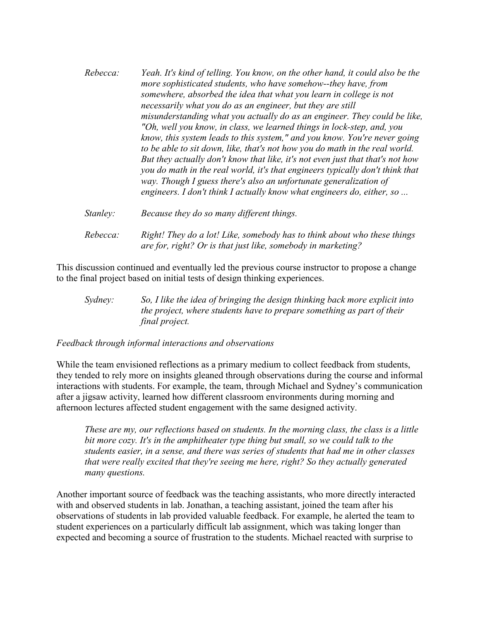| Rebecca: | Yeah. It's kind of telling. You know, on the other hand, it could also be the<br>more sophisticated students, who have somehow--they have, from<br>somewhere, absorbed the idea that what you learn in college is not<br>necessarily what you do as an engineer, but they are still<br>misunderstanding what you actually do as an engineer. They could be like,<br>"Oh, well you know, in class, we learned things in lock-step, and, you<br>know, this system leads to this system," and you know. You're never going<br>to be able to sit down, like, that's not how you do math in the real world.<br>But they actually don't know that like, it's not even just that that's not how<br>you do math in the real world, it's that engineers typically don't think that<br>way. Though I guess there's also an unfortunate generalization of<br>engineers. I don't think I actually know what engineers do, either, so |
|----------|--------------------------------------------------------------------------------------------------------------------------------------------------------------------------------------------------------------------------------------------------------------------------------------------------------------------------------------------------------------------------------------------------------------------------------------------------------------------------------------------------------------------------------------------------------------------------------------------------------------------------------------------------------------------------------------------------------------------------------------------------------------------------------------------------------------------------------------------------------------------------------------------------------------------------|
| Stanley: | Because they do so many different things.                                                                                                                                                                                                                                                                                                                                                                                                                                                                                                                                                                                                                                                                                                                                                                                                                                                                                |

*Rebecca: Right! They do a lot! Like, somebody has to think about who these things are for, right? Or is that just like, somebody in marketing?*

This discussion continued and eventually led the previous course instructor to propose a change to the final project based on initial tests of design thinking experiences.

*Sydney: So, I like the idea of bringing the design thinking back more explicit into the project, where students have to prepare something as part of their final project.*

### *Feedback through informal interactions and observations*

While the team envisioned reflections as a primary medium to collect feedback from students, they tended to rely more on insights gleaned through observations during the course and informal interactions with students. For example, the team, through Michael and Sydney's communication after a jigsaw activity, learned how different classroom environments during morning and afternoon lectures affected student engagement with the same designed activity.

*These are my, our reflections based on students. In the morning class, the class is a little bit more cozy. It's in the amphitheater type thing but small, so we could talk to the students easier, in a sense, and there was series of students that had me in other classes that were really excited that they're seeing me here, right? So they actually generated many questions.*

Another important source of feedback was the teaching assistants, who more directly interacted with and observed students in lab. Jonathan, a teaching assistant, joined the team after his observations of students in lab provided valuable feedback. For example, he alerted the team to student experiences on a particularly difficult lab assignment, which was taking longer than expected and becoming a source of frustration to the students. Michael reacted with surprise to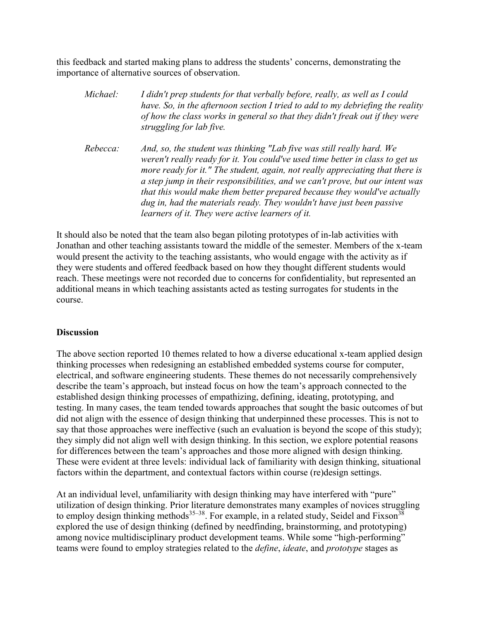this feedback and started making plans to address the students' concerns, demonstrating the importance of alternative sources of observation.

| Michael: | I didn't prep students for that verbally before, really, as well as I could<br>have. So, in the afternoon section I tried to add to my debriefing the reality<br>of how the class works in general so that they didn't freak out if they were<br>struggling for lab five.                                                                                                                                                                                                                                                         |
|----------|-----------------------------------------------------------------------------------------------------------------------------------------------------------------------------------------------------------------------------------------------------------------------------------------------------------------------------------------------------------------------------------------------------------------------------------------------------------------------------------------------------------------------------------|
| Rebecca: | And, so, the student was thinking "Lab five was still really hard. We<br>weren't really ready for it. You could've used time better in class to get us<br>more ready for it." The student, again, not really appreciating that there is<br>a step jump in their responsibilities, and we can't prove, but our intent was<br>that this would make them better prepared because they would've actually<br>dug in, had the materials ready. They wouldn't have just been passive<br>learners of it. They were active learners of it. |

It should also be noted that the team also began piloting prototypes of in-lab activities with Jonathan and other teaching assistants toward the middle of the semester. Members of the x-team would present the activity to the teaching assistants, who would engage with the activity as if they were students and offered feedback based on how they thought different students would reach. These meetings were not recorded due to concerns for confidentiality, but represented an additional means in which teaching assistants acted as testing surrogates for students in the course.

### **Discussion**

The above section reported 10 themes related to how a diverse educational x-team applied design thinking processes when redesigning an established embedded systems course for computer, electrical, and software engineering students. These themes do not necessarily comprehensively describe the team's approach, but instead focus on how the team's approach connected to the established design thinking processes of empathizing, defining, ideating, prototyping, and testing. In many cases, the team tended towards approaches that sought the basic outcomes of but did not align with the essence of design thinking that underpinned these processes. This is not to say that those approaches were ineffective (such an evaluation is beyond the scope of this study); they simply did not align well with design thinking. In this section, we explore potential reasons for differences between the team's approaches and those more aligned with design thinking. These were evident at three levels: individual lack of familiarity with design thinking, situational factors within the department, and contextual factors within course (re)design settings.

At an individual level, unfamiliarity with design thinking may have interfered with "pure" utilization of design thinking. Prior literature demonstrates many examples of novices struggling to employ design thinking methods<sup>35–38</sup>. For example, in a related study, Seidel and Fixson<sup>38</sup> explored the use of design thinking (defined by needfinding, brainstorming, and prototyping) among novice multidisciplinary product development teams. While some "high-performing" teams were found to employ strategies related to the *define*, *ideate*, and *prototype* stages as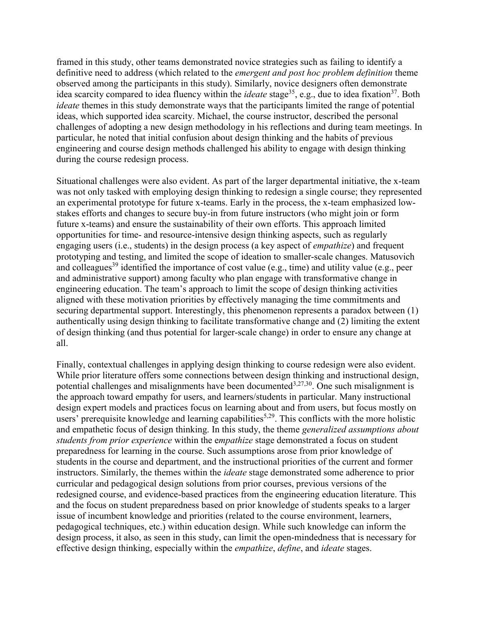framed in this study, other teams demonstrated novice strategies such as failing to identify a definitive need to address (which related to the *emergent and post hoc problem definition* theme observed among the participants in this study). Similarly, novice designers often demonstrate idea scarcity compared to idea fluency within the *ideate* stage<sup>35</sup>, e.g., due to idea fixation<sup>37</sup>. Both *ideate* themes in this study demonstrate ways that the participants limited the range of potential ideas, which supported idea scarcity. Michael, the course instructor, described the personal challenges of adopting a new design methodology in his reflections and during team meetings. In particular, he noted that initial confusion about design thinking and the habits of previous engineering and course design methods challenged his ability to engage with design thinking during the course redesign process.

Situational challenges were also evident. As part of the larger departmental initiative, the x-team was not only tasked with employing design thinking to redesign a single course; they represented an experimental prototype for future x-teams. Early in the process, the x-team emphasized lowstakes efforts and changes to secure buy-in from future instructors (who might join or form future x-teams) and ensure the sustainability of their own efforts. This approach limited opportunities for time- and resource-intensive design thinking aspects, such as regularly engaging users (i.e., students) in the design process (a key aspect of *empathize*) and frequent prototyping and testing, and limited the scope of ideation to smaller-scale changes. Matusovich and colleagues<sup>39</sup> identified the importance of cost value (e.g., time) and utility value (e.g., peer and administrative support) among faculty who plan engage with transformative change in engineering education. The team's approach to limit the scope of design thinking activities aligned with these motivation priorities by effectively managing the time commitments and securing departmental support. Interestingly, this phenomenon represents a paradox between (1) authentically using design thinking to facilitate transformative change and (2) limiting the extent of design thinking (and thus potential for larger-scale change) in order to ensure any change at all.

Finally, contextual challenges in applying design thinking to course redesign were also evident. While prior literature offers some connections between design thinking and instructional design, potential challenges and misalignments have been documented  $3,27,30$ . One such misalignment is the approach toward empathy for users, and learners/students in particular. Many instructional design expert models and practices focus on learning about and from users, but focus mostly on users' prerequisite knowledge and learning capabilities<sup>5,29</sup>. This conflicts with the more holistic and empathetic focus of design thinking. In this study, the theme *generalized assumptions about students from prior experience* within the e*mpathize* stage demonstrated a focus on student preparedness for learning in the course. Such assumptions arose from prior knowledge of students in the course and department, and the instructional priorities of the current and former instructors. Similarly, the themes within the *ideate* stage demonstrated some adherence to prior curricular and pedagogical design solutions from prior courses, previous versions of the redesigned course, and evidence-based practices from the engineering education literature. This and the focus on student preparedness based on prior knowledge of students speaks to a larger issue of incumbent knowledge and priorities (related to the course environment, learners, pedagogical techniques, etc.) within education design. While such knowledge can inform the design process, it also, as seen in this study, can limit the open-mindedness that is necessary for effective design thinking, especially within the *empathize*, *define*, and *ideate* stages.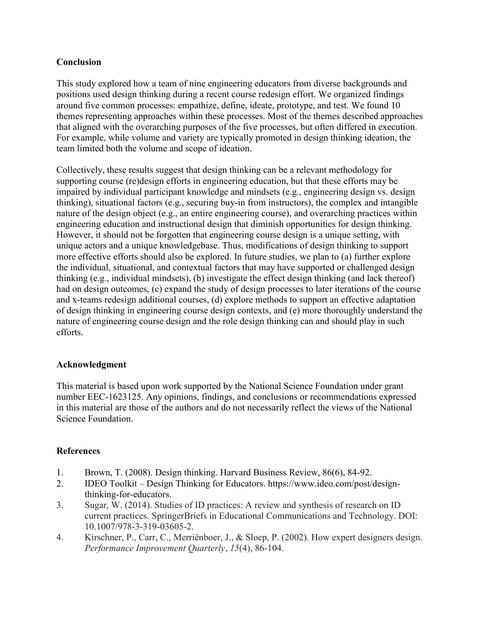# **Conclusion**

This study explored how a team of nine engineering educators from diverse backgrounds and positions used design thinking during a recent course redesign effort. We organized findings around five common processes: empathize, define, ideate, prototype, and test. We found 10 themes representing approaches within these processes. Most of the themes described approaches that aligned with the overarching purposes of the five processes, but often differed in execution. For example, while volume and variety are typically promoted in design thinking ideation, the team limited both the volume and scope of ideation.

Collectively, these results suggest that design thinking can be a relevant methodology for supporting course (re)design efforts in engineering education, but that these efforts may be impaired by individual participant knowledge and mindsets (e.g., engineering design vs. design thinking), situational factors (e.g., securing buy-in from instructors), the complex and intangible nature of the design object (e.g., an entire engineering course), and overarching practices within engineering education and instructional design that diminish opportunities for design thinking. However, it should not be forgotten that engineering course design is a unique setting, with unique actors and a unique knowledgebase. Thus, modifications of design thinking to support more effective efforts should also be explored. In future studies, we plan to (a) further explore the individual, situational, and contextual factors that may have supported or challenged design thinking (e.g., individual mindsets), (b) investigate the effect design thinking (and lack thereof) had on design outcomes, (c) expand the study of design processes to later iterations of the course and x-teams redesign additional courses, (d) explore methods to support an effective adaptation of design thinking in engineering course design contexts, and (e) more thoroughly understand the nature of engineering course design and the role design thinking can and should play in such efforts.

# **Acknowledgment**

This material is based upon work supported by the National Science Foundation under grant number EEC-1623125. Any opinions, findings, and conclusions or recommendations expressed in this material are those of the authors and do not necessarily reflect the views of the National Science Foundation.

# **References**

- 1. Brown, T. (2008). Design thinking. Harvard Business Review, 86(6), 84-92.
- 2. IDEO Toolkit Design Thinking for Educators. https://www.ideo.com/post/designthinking-for-educators.
- 3. Sugar, W. (2014). Studies of ID practices: A review and synthesis of research on ID current practices. SpringerBriefs in Educational Communications and Technology. DOI: 10.1007/978-3-319-03605-2.
- 4. Kirschner, P., Carr, C., Merriënboer, J., & Sloep, P. (2002). How expert designers design. *Performance Improvement Quarterly*, *15*(4), 86-104.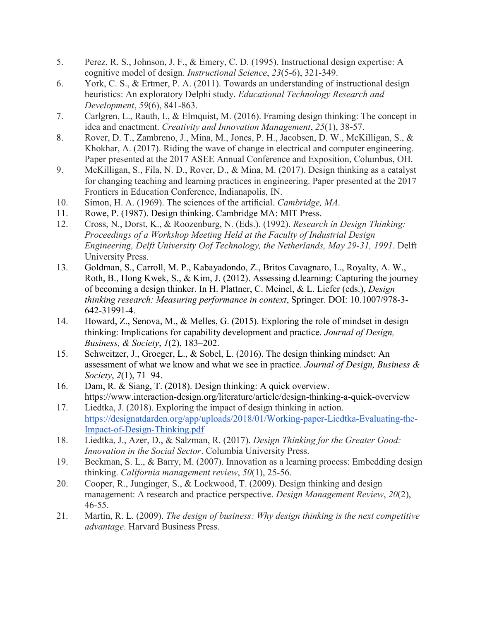- 5. Perez, R. S., Johnson, J. F., & Emery, C. D. (1995). Instructional design expertise: A cognitive model of design. *Instructional Science*, *23*(5-6), 321-349.
- 6. York, C. S., & Ertmer, P. A. (2011). Towards an understanding of instructional design heuristics: An exploratory Delphi study. *Educational Technology Research and Development*, *59*(6), 841-863.
- 7. Carlgren, L., Rauth, I., & Elmquist, M. (2016). Framing design thinking: The concept in idea and enactment. *Creativity and Innovation Management*, *25*(1), 38-57.
- 8. Rover, D. T., Zambreno, J., Mina, M., Jones, P. H., Jacobsen, D. W., McKilligan, S., & Khokhar, A. (2017). Riding the wave of change in electrical and computer engineering. Paper presented at the 2017 ASEE Annual Conference and Exposition, Columbus, OH.
- 9. McKilligan, S., Fila, N. D., Rover, D., & Mina, M. (2017). Design thinking as a catalyst for changing teaching and learning practices in engineering. Paper presented at the 2017 Frontiers in Education Conference, Indianapolis, IN.
- 10. Simon, H. A. (1969). The sciences of the artificial. *Cambridge, MA*.
- 11. Rowe, P. (1987). Design thinking. Cambridge MA: MIT Press.
- 12. Cross, N., Dorst, K., & Roozenburg, N. (Eds.). (1992). *Research in Design Thinking: Proceedings of a Workshop Meeting Held at the Faculty of Industrial Design Engineering, Delft University Oof Technology, the Netherlands, May 29-31, 1991*. Delft University Press.
- 13. Goldman, S., Carroll, M. P., Kabayadondo, Z., Britos Cavagnaro, L., Royalty, A. W., Roth, B., Hong Kwek, S., & Kim, J. (2012). Assessing d.learning: Capturing the journey of becoming a design thinker. In H. Plattner, C. Meinel, & L. Liefer (eds.), *Design thinking research: Measuring performance in context*, Springer. DOI: 10.1007/978-3- 642-31991-4.
- 14. Howard, Z., Senova, M., & Melles, G. (2015). Exploring the role of mindset in design thinking: Implications for capability development and practice. *Journal of Design, Business, & Society*, *1*(2), 183–202.
- 15. Schweitzer, J., Groeger, L., & Sobel, L. (2016). The design thinking mindset: An assessment of what we know and what we see in practice. *Journal of Design, Business & Society*, *2*(1), 71–94.
- 16. Dam, R. & Siang, T. (2018). Design thinking: A quick overview. https://www.interaction-design.org/literature/article/design-thinking-a-quick-overview
- 17. Liedtka, J. (2018). Exploring the impact of design thinking in action[.](https://designatdarden.org/app/uploads/2018/01/Working-paper-Liedtka-Evaluating-the-Impact-of-Design-Thinking.pdf) [https://designatdarden.org/app/uploads/2018/01/Working-paper-Liedtka-Evaluating-the-](https://designatdarden.org/app/uploads/2018/01/Working-paper-Liedtka-Evaluating-the-Impact-of-Design-Thinking.pdf)[Impact-of-Design-Thinking.pdf](https://designatdarden.org/app/uploads/2018/01/Working-paper-Liedtka-Evaluating-the-Impact-of-Design-Thinking.pdf)
- 18. Liedtka, J., Azer, D., & Salzman, R. (2017). *Design Thinking for the Greater Good: Innovation in the Social Sector*. Columbia University Press.
- 19. Beckman, S. L., & Barry, M. (2007). Innovation as a learning process: Embedding design thinking. *California management review*, *50*(1), 25-56.
- 20. Cooper, R., Junginger, S., & Lockwood, T. (2009). Design thinking and design management: A research and practice perspective. *Design Management Review*, *20*(2), 46-55.
- 21. Martin, R. L. (2009). *The design of business: Why design thinking is the next competitive advantage*. Harvard Business Press.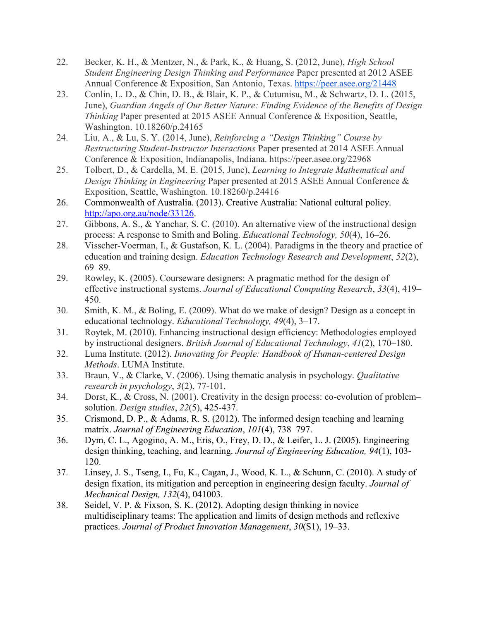- 22. Becker, K. H., & Mentzer, N., & Park, K., & Huang, S. (2012, June), *High School Student Engineering Design Thinking and Performance* Paper presented at 2012 ASEE Annual Conference & Exposition, San Antonio, Texas. <https://peer.asee.org/21448>
- 23. Conlin, L. D., & Chin, D. B., & Blair, K. P., & Cutumisu, M., & Schwartz, D. L. (2015, June), *Guardian Angels of Our Better Nature: Finding Evidence of the Benefits of Design Thinking* Paper presented at 2015 ASEE Annual Conference & Exposition, Seattle, Washington. 10.18260/p.24165
- 24. Liu, A., & Lu, S. Y. (2014, June), *Reinforcing a "Design Thinking" Course by Restructuring Student-Instructor Interactions* Paper presented at 2014 ASEE Annual Conference & Exposition, Indianapolis, Indiana. https://peer.asee.org/22968
- 25. Tolbert, D., & Cardella, M. E. (2015, June), *Learning to Integrate Mathematical and Design Thinking in Engineering* Paper presented at 2015 ASEE Annual Conference & Exposition, Seattle, Washington. 10.18260/p.24416
- 26. Commonwealth of Australia. (2013). Creative Australia: National cultural policy. [http://apo.org.au/node/33126.](http://apo.org.au/node/33126)
- 27. Gibbons, A. S., & Yanchar, S. C. (2010). An alternative view of the instructional design process: A response to Smith and Boling. *Educational Technology, 50*(4), 16–26.
- 28. Visscher-Voerman, I., & Gustafson, K. L. (2004). Paradigms in the theory and practice of education and training design. *Education Technology Research and Development*, *52*(2), 69–89.
- 29. Rowley, K. (2005). Courseware designers: A pragmatic method for the design of effective instructional systems. *Journal of Educational Computing Research*, *33*(4), 419– 450.
- 30. Smith, K. M., & Boling, E. (2009). What do we make of design? Design as a concept in educational technology. *Educational Technology, 49*(4), 3–17.
- 31. Roytek, M. (2010). Enhancing instructional design efficiency: Methodologies employed by instructional designers. *British Journal of Educational Technology*, *41*(2), 170–180.
- 32. Luma Institute. (2012). *Innovating for People: Handbook of Human-centered Design Methods*. LUMA Institute.
- 33. Braun, V., & Clarke, V. (2006). Using thematic analysis in psychology. *Qualitative research in psychology*, *3*(2), 77-101.
- 34. Dorst, K., & Cross, N. (2001). Creativity in the design process: co-evolution of problem– solution. *Design studies*, *22*(5), 425-437.
- 35. Crismond, D. P., & Adams, R. S. (2012). The informed design teaching and learning matrix. *Journal of Engineering Education*, *101*(4), 738–797.
- 36. Dym, C. L., Agogino, A. M., Eris, O., Frey, D. D., & Leifer, L. J. (2005). Engineering design thinking, teaching, and learning. *Journal of Engineering Education, 94*(1), 103- 120.
- 37. Linsey, J. S., Tseng, I., Fu, K., Cagan, J., Wood, K. L., & Schunn, C. (2010). A study of design fixation, its mitigation and perception in engineering design faculty. *Journal of Mechanical Design, 132*(4), 041003.
- 38. Seidel, V. P. & Fixson, S. K. (2012). Adopting design thinking in novice multidisciplinary teams: The application and limits of design methods and reflexive practices. *Journal of Product Innovation Management*, *30*(S1), 19–33.